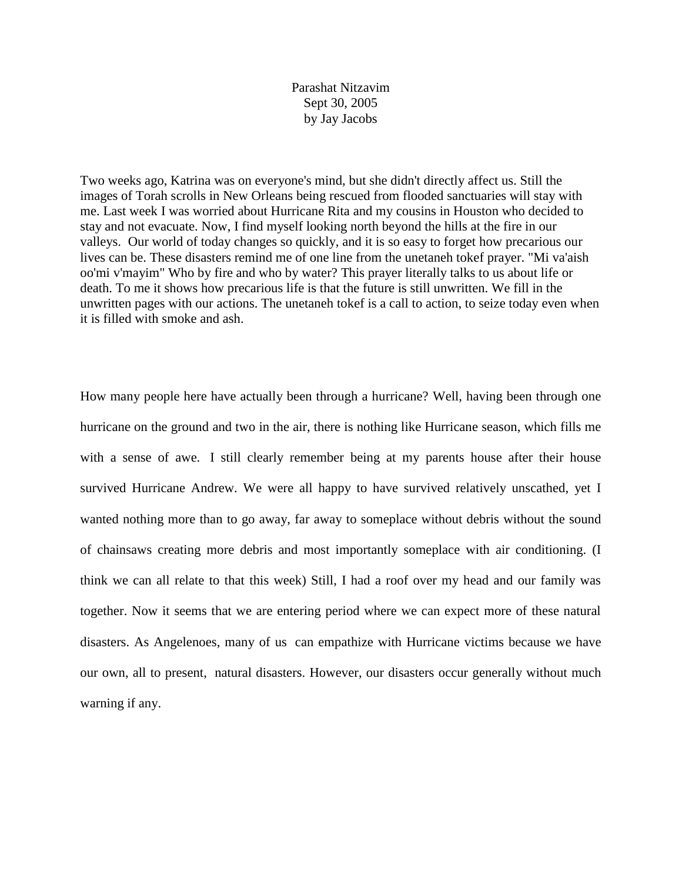Parashat Nitzavim Sept 30, 2005 by Jay Jacobs

Two weeks ago, Katrina was on everyone's mind, but she didn't directly affect us. Still the images of Torah scrolls in New Orleans being rescued from flooded sanctuaries will stay with me. Last week I was worried about Hurricane Rita and my cousins in Houston who decided to stay and not evacuate. Now, I find myself looking north beyond the hills at the fire in our valleys. Our world of today changes so quickly, and it is so easy to forget how precarious our lives can be. These disasters remind me of one line from the unetaneh tokef prayer. "Mi va'aish oo'mi v'mayim" Who by fire and who by water? This prayer literally talks to us about life or death. To me it shows how precarious life is that the future is still unwritten. We fill in the unwritten pages with our actions. The unetaneh tokef is a call to action, to seize today even when it is filled with smoke and ash.

How many people here have actually been through a hurricane? Well, having been through one hurricane on the ground and two in the air, there is nothing like Hurricane season, which fills me with a sense of awe. I still clearly remember being at my parents house after their house survived Hurricane Andrew. We were all happy to have survived relatively unscathed, yet I wanted nothing more than to go away, far away to someplace without debris without the sound of chainsaws creating more debris and most importantly someplace with air conditioning. (I think we can all relate to that this week) Still, I had a roof over my head and our family was together. Now it seems that we are entering period where we can expect more of these natural disasters. As Angelenoes, many of us can empathize with Hurricane victims because we have our own, all to present, natural disasters. However, our disasters occur generally without much warning if any.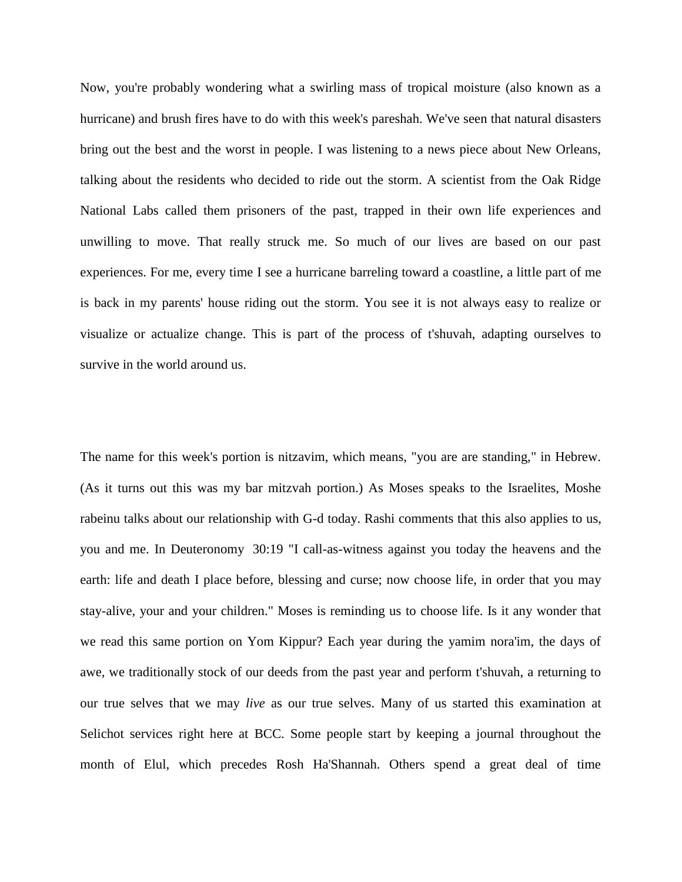Now, you're probably wondering what a swirling mass of tropical moisture (also known as a hurricane) and brush fires have to do with this week's pareshah. We've seen that natural disasters bring out the best and the worst in people. I was listening to a news piece about New Orleans, talking about the residents who decided to ride out the storm. A scientist from the Oak Ridge National Labs called them prisoners of the past, trapped in their own life experiences and unwilling to move. That really struck me. So much of our lives are based on our past experiences. For me, every time I see a hurricane barreling toward a coastline, a little part of me is back in my parents' house riding out the storm. You see it is not always easy to realize or visualize or actualize change. This is part of the process of t'shuvah, adapting ourselves to survive in the world around us.

The name for this week's portion is nitzavim, which means, "you are are standing," in Hebrew. (As it turns out this was my bar mitzvah portion.) As Moses speaks to the Israelites, Moshe rabeinu talks about our relationship with G-d today. Rashi comments that this also applies to us, you and me. In Deuteronomy 30:19 "I call-as-witness against you today the heavens and the earth: life and death I place before, blessing and curse; now choose life, in order that you may stay-alive, your and your children." Moses is reminding us to choose life. Is it any wonder that we read this same portion on Yom Kippur? Each year during the yamim nora'im, the days of awe, we traditionally stock of our deeds from the past year and perform t'shuvah, a returning to our true selves that we may *live* as our true selves. Many of us started this examination at Selichot services right here at BCC. Some people start by keeping a journal throughout the month of Elul, which precedes Rosh Ha'Shannah. Others spend a great deal of time